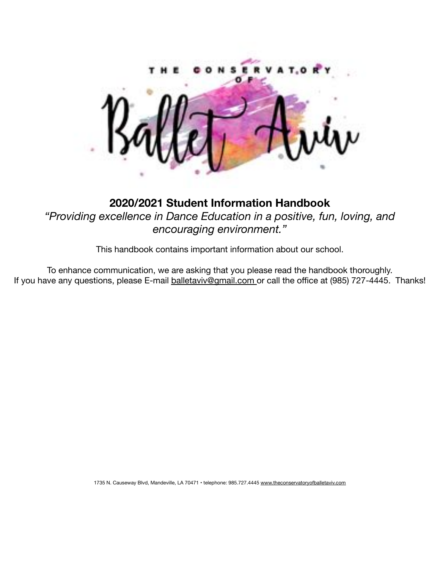

**2020/2021 Student Information Handbook** *"Providing excellence in Dance Education in a positive, fun, loving, and encouraging environment."* 

This handbook contains important information about our school.

To enhance communication, we are asking that you please read the handbook thoroughly. If you have any questions, please E-mail [balletaviv@gmail.com](mailto:balletaviv@gmail.com) or call the office at (985) 727-4445. Thanks!

1735 N. Causeway Blvd, Mandeville, LA 70471 · telephone: 985.727.4445 [www.theconservatoryofballetaviv.com](http://www.theconservatoryofballetaviv.com)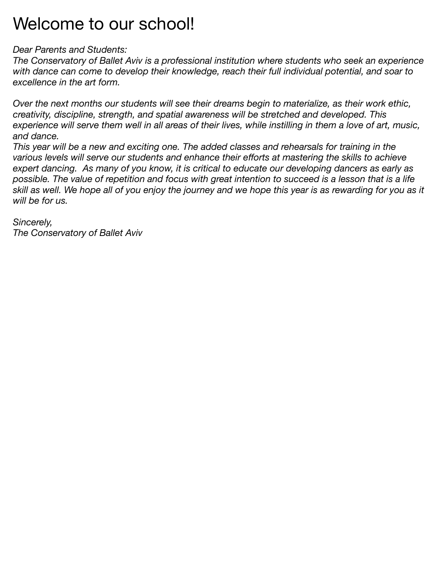# Welcome to our school!

### *Dear Parents and Students:*

*The Conservatory of Ballet Aviv is a professional institution where students who seek an experience*  with dance can come to develop their knowledge, reach their full individual potential, and soar to *excellence in the art form.* 

*Over the next months our students will see their dreams begin to materialize, as their work ethic, creativity, discipline, strength, and spatial awareness will be stretched and developed. This experience will serve them well in all areas of their lives, while instilling in them a love of art, music, and dance.* 

*This year will be a new and exciting one. The added classes and rehearsals for training in the various levels will serve our students and enhance their efforts at mastering the skills to achieve expert dancing. As many of you know, it is critical to educate our developing dancers as early as possible. The value of repetition and focus with great intention to succeed is a lesson that is a life skill as well. We hope all of you enjoy the journey and we hope this year is as rewarding for you as it will be for us.* 

*Sincerely,* 

*The Conservatory of Ballet Aviv*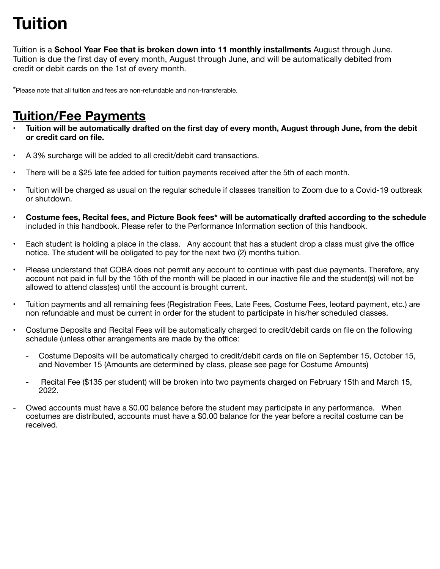# **Tuition**

Tuition is a **School Year Fee that is broken down into 11 monthly installments** August through June. Tuition is due the first day of every month, August through June, and will be automatically debited from credit or debit cards on the 1st of every month. 

\*Please note that all tuition and fees are non-refundable and non-transferable.

### **Tuition/Fee Payments**

- **• Tuition will be automatically drafted on the first day of every month, August through June, from the debit or credit card on file.**
- A 3% surcharge will be added to all credit/debit card transactions.
- There will be a \$25 late fee added for tuition payments received after the 5th of each month.
- Tuition will be charged as usual on the regular schedule if classes transition to Zoom due to a Covid-19 outbreak or shutdown.
- **• Costume fees, Recital fees, and Picture Book fees\* will be automatically drafted according to the schedule** included in this handbook. Please refer to the Performance Information section of this handbook.
- Each student is holding a place in the class. Any account that has a student drop a class must give the office notice. The student will be obligated to pay for the next two (2) months tuition.
- Please understand that COBA does not permit any account to continue with past due payments. Therefore, any account not paid in full by the 15th of the month will be placed in our inactive file and the student(s) will not be allowed to attend class(es) until the account is brought current.
- Tuition payments and all remaining fees (Registration Fees, Late Fees, Costume Fees, leotard payment, etc.) are non refundable and must be current in order for the student to participate in his/her scheduled classes.
- Costume Deposits and Recital Fees will be automatically charged to credit/debit cards on file on the following schedule (unless other arrangements are made by the office:
	- Costume Deposits will be automatically charged to credit/debit cards on file on September 15, October 15, and November 15 (Amounts are determined by class, please see page for Costume Amounts)
	- Recital Fee (\$135 per student) will be broken into two payments charged on February 15th and March 15, 2022.
- Owed accounts must have a \$0.00 balance before the student may participate in any performance. When costumes are distributed, accounts must have a \$0.00 balance for the year before a recital costume can be received.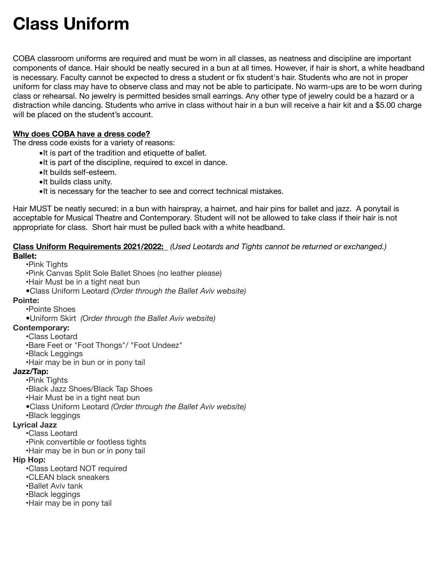# **Class Uniform**

COBA classroom uniforms are required and must be worn in all classes, as neatness and discipline are important components of dance. Hair should be neatly secured in a bun at all times. However, if hair is short, a white headband is necessary. Faculty cannot be expected to dress a student or fix student's hair. Students who are not in proper uniform for class may have to observe class and may not be able to participate. No warm-ups are to be worn during class or rehearsal. No jewelry is permitted besides small earrings. Any other type of jewelry could be a hazard or a distraction while dancing. Students who arrive in class without hair in a bun will receive a hair kit and a \$5.00 charge will be placed on the student's account.

#### **Why does COBA have a dress code?**

The dress code exists for a variety of reasons:

- •It is part of the tradition and etiquette of ballet.
- •It is part of the discipline, required to excel in dance.
- •It builds self-esteem.
- •It builds class unity.
- •It is necessary for the teacher to see and correct technical mistakes.

Hair MUST be neatly secured: in a bun with hairspray, a hairnet, and hair pins for ballet and jazz. A ponytail is acceptable for Musical Theatre and Contemporary. Student will not be allowed to take class if their hair is not appropriate for class. Short hair must be pulled back with a white headband.

#### **Class Uniform Requirements 2021/2022:** *(Used Leotards and Tights cannot be returned or exchanged.)*  **Ballet:**

•Pink Tights

•Pink Canvas Split Sole Ballet Shoes (no leather please)

•Hair Must be in a tight neat bun

*•*Class Uniform Leotard *(Order through the Ballet Aviv website)* 

#### **Pointe:**

•Pointe Shoes

*•*Uniform Skirt *(Order through the Ballet Aviv website)*

#### **Contemporary:**

•Class Leotard

•Bare Feet or "Foot Thongs"/ "Foot Undeez"

•Black Leggings

•Hair may be in bun or in pony tail

#### **Jazz/Tap:**

•Pink Tights •Black Jazz Shoes/Black Tap Shoes •Hair Must be in a tight neat bun *•*Class Uniform Leotard *(Order through the Ballet Aviv website)*  •Black leggings

#### **Lyrical Jazz**

•Class Leotard

•Pink convertible or footless tights

•Hair may be in bun or in pony tail

#### **Hip Hop:**

•Class Leotard NOT required

•CLEAN black sneakers

•Ballet Aviv tank

•Black leggings

•Hair may be in pony tail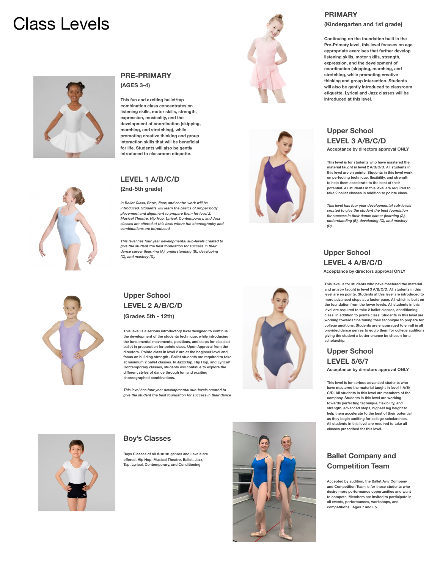### Class Levels





#### **PRE-PRIMARY (AGES 3-4)**

**This fun and exciting ballet/tap combination class concentrates on listening skills, motor skills, strength, expression, musicality, and the development of coordination (skipping, marching, and stretching), while promoting creative thinking and group interaction skills that will be beneficial for life. Students will also be gently introduced to classroom etiquette.** 

#### **LEVEL 1 A/B/C/D (2nd-5th grade)**

*In Ballet Class, Barre, floor, and centre work will be introduced. Students will learn the basics of proper body placement and alignment to prepare them for level 2. Musical Theatre, Hip Hop, Lyrical, Contemporary, and Jazz classes are offered at this level where fun choreography and combinations are introduced.* 

*This level has four year developmental sub-levels created to give the student the best foundation for success in their dance career (learning (A), understanding (B), developing (C), and mastery (D).*



### **Upper School LEVEL 2 A/B/C/D**

**(Grades 5th - 12th)** 

**This level is a serious introductory level designed to continue the development of the students technique, while introducing the fundamental movements, positions, and steps for classical ballet in preparation for pointe class. Upon Approval from the directors- Pointe class in level 2 are at the beginner level and focus on building strength . Ballet students are required to take at minimum 2 ballet classes. In Jazz/Tap, Hip Hop, and Lyrical/ Contemporary classes, students will continue to explore the different styles of dance through fun and exciting choreographed combinations.** 

*This level has four year developmental sub-levels created to give the student the best foundation for success in their dance* 

#### **Boy's Classes**

**Boys Classes of all dance genres and Levels are offered. Hip Hop, Musical Theatre, Ballet, Jazz, Tap, Lyrical, Contemporary, and Conditioning**





#### **(Kindergarten and 1st grade)**

**Continuing on the foundation built in the Pre-Primary level, this level focuses on age appropriate exercises that further develop listening skills, motor skills, strength, expression, and the development of coordination (skipping, marching, and stretching, while promoting creative thinking and group interaction. Students will also be gently introduced to classroom etiquette. Lyrical and Jazz classes will be introduced at this level.**

### **Upper School LEVEL 3 A/B/C/D**

**Acceptance by directors approval ONLY**

**This level is for students who have mastered the material taught in level 2 A/B/C/D. All students in this level are en pointe. Students in this level work on perfecting technique, flexibility, and strength to help them accelerate to the best of their potential. All students in this level are required to take 2 ballet classes in addition to pointe class.** 

*This level has four year developmental sub-levels created to give the student the best foundation for success in their dance career (learning (A), understanding (B), developing (C), and mastery (D).*

#### **Upper School LEVEL 4 A/B/C/D Acceptance by directors approval ONLY**

**This level is for students who have mastered the material and artistry taught in level 3 A/B/C/D. All students in this level are en pointe. Students at this level are introduced to more advanced steps at a faster pace. All which is built on the foundation from the lower levels. All students in this level are required to take 2 ballet classes, conditioning class, in addition to pointe class. Students in this level are working towards fine tuning their technique to prepare for college auditions. Students are encouraged to enroll in all provided dance genres to equip them for college auditions** 

#### **Upper School LEVEL 5/6/7 giving the student a better chance be chosen for a scholarship.**

**Acceptance by directors approval ONLY**

**This level is for serious advanced students who have mastered the material taught in level 4 A/B/ C/D. All students in this level are members of the company. Students in this level are working towards perfecting technique, flexibility, and strength, advanced steps, highest leg height to help them accelerate to the best of their potential as they begin auditing for college scholarships. All students in this level are required to take all classes prescribed for this level.**

### **Ballet Company and Competition Team**

**Accepted by audition, the Ballet Aviv Company and Competition Team is for those students who desire more performance opportunities and want to compete. Members are invited to participate in all events, performances, workshops, and competitions. Ages 7 and up.**



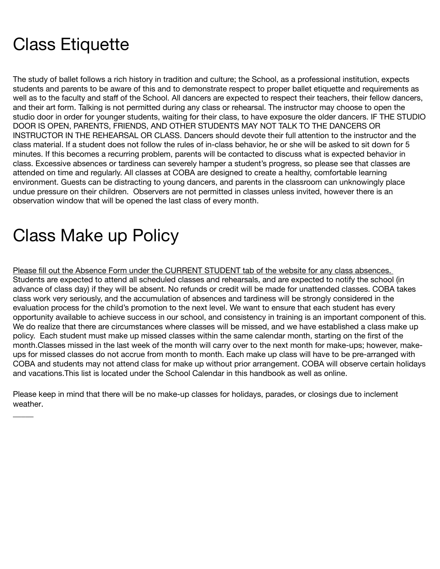# Class Etiquette

The study of ballet follows a rich history in tradition and culture; the School, as a professional institution, expects students and parents to be aware of this and to demonstrate respect to proper ballet etiquette and requirements as well as to the faculty and staff of the School. All dancers are expected to respect their teachers, their fellow dancers, and their art form. Talking is not permitted during any class or rehearsal. The instructor may choose to open the studio door in order for younger students, waiting for their class, to have exposure the older dancers. IF THE STUDIO DOOR IS OPEN, PARENTS, FRIENDS, AND OTHER STUDENTS MAY NOT TALK TO THE DANCERS OR INSTRUCTOR IN THE REHEARSAL OR CLASS. Dancers should devote their full attention to the instructor and the class material. If a student does not follow the rules of in-class behavior, he or she will be asked to sit down for 5 minutes. If this becomes a recurring problem, parents will be contacted to discuss what is expected behavior in class. Excessive absences or tardiness can severely hamper a student's progress, so please see that classes are attended on time and regularly. All classes at COBA are designed to create a healthy, comfortable learning environment. Guests can be distracting to young dancers, and parents in the classroom can unknowingly place undue pressure on their children. Observers are not permitted in classes unless invited, however there is an observation window that will be opened the last class of every month.

# Class Make up Policy

 $\overline{\phantom{a}}$ 

Please fill out the Absence Form under the CURRENT STUDENT tab of the website for any class absences. Students are expected to attend all scheduled classes and rehearsals, and are expected to notify the school (in advance of class day) if they will be absent. No refunds or credit will be made for unattended classes. COBA takes class work very seriously, and the accumulation of absences and tardiness will be strongly considered in the evaluation process for the child's promotion to the next level. We want to ensure that each student has every opportunity available to achieve success in our school, and consistency in training is an important component of this. We do realize that there are circumstances where classes will be missed, and we have established a class make up policy. Each student must make up missed classes within the same calendar month, starting on the first of the month.Classes missed in the last week of the month will carry over to the next month for make-ups; however, makeups for missed classes do not accrue from month to month. Each make up class will have to be pre-arranged with COBA and students may not attend class for make up without prior arrangement. COBA will observe certain holidays and vacations.This list is located under the School Calendar in this handbook as well as online.

Please keep in mind that there will be no make-up classes for holidays, parades, or closings due to inclement weather.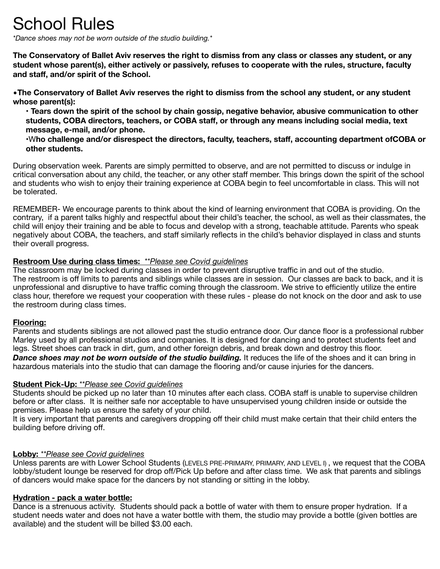# School Rules

*\*Dance shoes may not be worn outside of the studio building.\** 

**The Conservatory of Ballet Aviv reserves the right to dismiss from any class or classes any student, or any student whose parent(s), either actively or passively, refuses to cooperate with the rules, structure, faculty and staff, and/or spirit of the School.** 

•**The Conservatory of Ballet Aviv reserves the right to dismiss from the school any student, or any student whose parent(s):** 

**• Tears down the spirit of the school by chain gossip, negative behavior, abusive communication to other students, COBA directors, teachers, or COBA staff, or through any means including social media, text message, e-mail, and/or phone.** 

**•**W**ho challenge and/or disrespect the directors, faculty, teachers, staff, accounting department ofCOBA or other students.** 

During observation week. Parents are simply permitted to observe, and are not permitted to discuss or indulge in critical conversation about any child, the teacher, or any other staff member. This brings down the spirit of the school and students who wish to enjoy their training experience at COBA begin to feel uncomfortable in class. This will not be tolerated.

REMEMBER- We encourage parents to think about the kind of learning environment that COBA is providing. On the contrary, if a parent talks highly and respectful about their child's teacher, the school, as well as their classmates, the child will enjoy their training and be able to focus and develop with a strong, teachable attitude. Parents who speak negatively about COBA, the teachers, and staff similarly reflects in the child's behavior displayed in class and stunts their overall progress.

#### **Restroom Use during class times:** *\*\*Please see Covid guidelines*

The classroom may be locked during classes in order to prevent disruptive traffic in and out of the studio. The restroom is off limits to parents and siblings while classes are in session. Our classes are back to back, and it is unprofessional and disruptive to have traffic coming through the classroom. We strive to efficiently utilize the entire class hour, therefore we request your cooperation with these rules - please do not knock on the door and ask to use the restroom during class times.

#### **Flooring:**

Parents and students siblings are not allowed past the studio entrance door. Our dance floor is a professional rubber Marley used by all professional studios and companies. It is designed for dancing and to protect students feet and legs. Street shoes can track in dirt, gum, and other foreign debris, and break down and destroy this floor. *Dance shoes may not be worn outside of the studio building.* It reduces the life of the shoes and it can bring in hazardous materials into the studio that can damage the flooring and/or cause injuries for the dancers.

#### **Student Pick-Up:** *\*\*Please see Covid guidelines*

Students should be picked up no later than 10 minutes after each class. COBA staff is unable to supervise children before or after class. It is neither safe nor acceptable to have unsupervised young children inside or outside the premises. Please help us ensure the safety of your child.

It is very important that parents and caregivers dropping off their child must make certain that their child enters the building before driving off.

#### **Lobby:** *\*\*Please see Covid guidelines*

Unless parents are with Lower School Students (LEVELS PRE-PRIMARY, PRIMARY, AND LEVEL I) , we request that the COBA lobby/student lounge be reserved for drop off/Pick Up before and after class time. We ask that parents and siblings of dancers would make space for the dancers by not standing or sitting in the lobby.

#### **Hydration - pack a water bottle:**

Dance is a strenuous activity. Students should pack a bottle of water with them to ensure proper hydration. If a student needs water and does not have a water bottle with them, the studio may provide a bottle (given bottles are available) and the student will be billed \$3.00 each.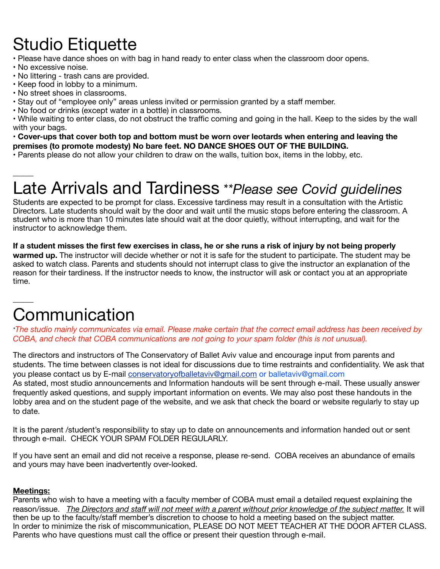# Studio Etiquette

- Please have dance shoes on with bag in hand ready to enter class when the classroom door opens.
- No excessive noise.

 $\overline{\phantom{a}}$ 

 $\overline{\phantom{a}}$ 

- No littering trash cans are provided.
- Keep food in lobby to a minimum.
- No street shoes in classrooms.
- Stay out of "employee only" areas unless invited or permission granted by a staff member.
- No food or drinks (except water in a bottle) in classrooms.

• While waiting to enter class, do not obstruct the traffic coming and going in the hall. Keep to the sides by the wall with your bags.

• **Cover-ups that cover both top and bottom must be worn over leotards when entering and leaving the premises (to promote modesty) No bare feet. NO DANCE SHOES OUT OF THE BUILDING.**

• Parents please do not allow your children to draw on the walls, tuition box, items in the lobby, etc.

# Late Arrivals and Tardiness *\*\*Please see Covid guidelines*

Students are expected to be prompt for class. Excessive tardiness may result in a consultation with the Artistic Directors. Late students should wait by the door and wait until the music stops before entering the classroom. A student who is more than 10 minutes late should wait at the door quietly, without interrupting, and wait for the instructor to acknowledge them.

#### **If a student misses the first few exercises in class, he or she runs a risk of injury by not being properly**

**warmed up.** The instructor will decide whether or not it is safe for the student to participate. The student may be asked to watch class. Parents and students should not interrupt class to give the instructor an explanation of the reason for their tardiness. If the instructor needs to know, the instructor will ask or contact you at an appropriate time.

# **Communication**

*\*The studio mainly communicates via email. Please make certain that the correct email address has been received by COBA, and check that COBA communications are not going to your spam folder (this is not unusual).* 

The directors and instructors of The Conservatory of Ballet Aviv value and encourage input from parents and students. The time between classes is not ideal for discussions due to time restraints and confidentiality. We ask that you please contact us by E-mail [conservatoryofballetaviv@gmail.com](mailto:conservatoryofballetaviv@gmail.com) or balletaviv@gmail.com As stated, most studio announcements and Information handouts will be sent through e-mail. These usually answer frequently asked questions, and supply important information on events. We may also post these handouts in the lobby area and on the student page of the website, and we ask that check the board or website regularly to stay up to date.

It is the parent /student's responsibility to stay up to date on announcements and information handed out or sent through e-mail. CHECK YOUR SPAM FOLDER REGULARLY.

If you have sent an email and did not receive a response, please re-send. COBA receives an abundance of emails and yours may have been inadvertently over-looked.

#### **Meetings:**

Parents who wish to have a meeting with a faculty member of COBA must email a detailed request explaining the reason/issue. *The Directors and staff will not meet with a parent without prior knowledge of the subject matter. It will* then be up to the faculty/staff member's discretion to choose to hold a meeting based on the subject matter. In order to minimize the risk of miscommunication, PLEASE DO NOT MEET TEACHER AT THE DOOR AFTER CLASS. Parents who have questions must call the office or present their question through e-mail.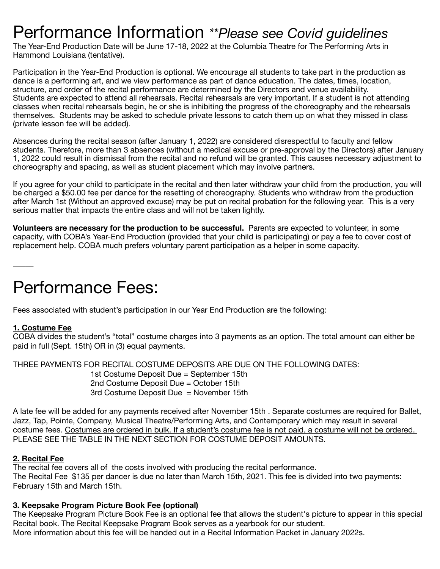### Performance Information *\*\*Please see Covid guidelines*

The Year-End Production Date will be June 17-18, 2022 at the Columbia Theatre for The Performing Arts in Hammond Louisiana (tentative).

Participation in the Year-End Production is optional. We encourage all students to take part in the production as dance is a performing art, and we view performance as part of dance education. The dates, times, location, structure, and order of the recital performance are determined by the Directors and venue availability. Students are expected to attend all rehearsals. Recital rehearsals are very important. If a student is not attending classes when recital rehearsals begin, he or she is inhibiting the progress of the choreography and the rehearsals themselves. Students may be asked to schedule private lessons to catch them up on what they missed in class (private lesson fee will be added).

Absences during the recital season (after January 1, 2022) are considered disrespectful to faculty and fellow students. Therefore, more than 3 absences (without a medical excuse or pre-approval by the Directors) after January 1, 2022 could result in dismissal from the recital and no refund will be granted. This causes necessary adjustment to choreography and spacing, as well as student placement which may involve partners.

If you agree for your child to participate in the recital and then later withdraw your child from the production, you will be charged a \$50.00 fee per dance for the resetting of choreography. Students who withdraw from the production after March 1st (Without an approved excuse) may be put on recital probation for the following year. This is a very serious matter that impacts the entire class and will not be taken lightly.

**Volunteers are necessary for the production to be successful.** Parents are expected to volunteer, in some capacity, with COBA's Year-End Production (provided that your child is participating) or pay a fee to cover cost of replacement help. COBA much prefers voluntary parent participation as a helper in some capacity.

# Performance Fees:

Fees associated with student's participation in our Year End Production are the following:

#### **1. Costume Fee**

 $\overline{\phantom{a}}$ 

COBA divides the student's "total" costume charges into 3 payments as an option. The total amount can either be paid in full (Sept. 15th) OR in (3) equal payments.

THREE PAYMENTS FOR RECITAL COSTUME DEPOSITS ARE DUE ON THE FOLLOWING DATES:

1st Costume Deposit Due = September 15th 2nd Costume Deposit Due = October 15th 3rd Costume Deposit Due = November 15th

A late fee will be added for any payments received after November 15th . Separate costumes are required for Ballet, Jazz, Tap, Pointe, Company, Musical Theatre/Performing Arts, and Contemporary which may result in several costume fees. Costumes are ordered in bulk. If a student's costume fee is not paid, a costume will not be ordered. PLEASE SEE THE TABLE IN THE NEXT SECTION FOR COSTUME DEPOSIT AMOUNTS.

#### **2. Recital Fee**

The recital fee covers all of the costs involved with producing the recital performance. The Recital Fee \$135 per dancer is due no later than March 15th, 2021. This fee is divided into two payments: February 15th and March 15th.

#### **3. Keepsake Program Picture Book Fee (optional)**

The Keepsake Program Picture Book Fee is an optional fee that allows the student's picture to appear in this special Recital book. The Recital Keepsake Program Book serves as a yearbook for our student. More information about this fee will be handed out in a Recital Information Packet in January 2022s.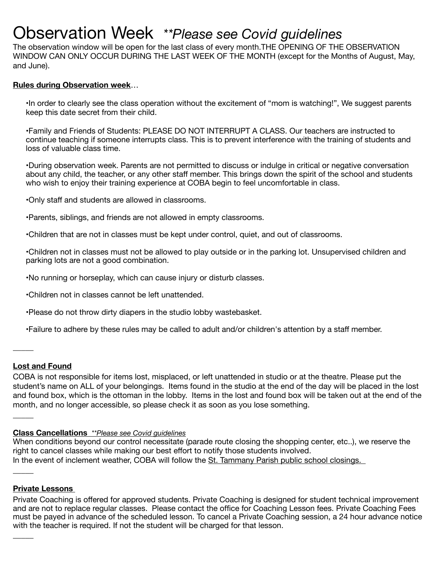## Observation Week *\*\*Please see Covid guidelines*

The observation window will be open for the last class of every month.THE OPENING OF THE OBSERVATION WINDOW CAN ONLY OCCUR DURING THE LAST WEEK OF THE MONTH (except for the Months of August, May, and June).

#### **Rules during Observation week**…

•In order to clearly see the class operation without the excitement of "mom is watching!", We suggest parents keep this date secret from their child.

•Family and Friends of Students: PLEASE DO NOT INTERRUPT A CLASS. Our teachers are instructed to continue teaching if someone interrupts class. This is to prevent interference with the training of students and loss of valuable class time.

•During observation week. Parents are not permitted to discuss or indulge in critical or negative conversation about any child, the teacher, or any other staff member. This brings down the spirit of the school and students who wish to enjoy their training experience at COBA begin to feel uncomfortable in class.

•Only staff and students are allowed in classrooms.

•Parents, siblings, and friends are not allowed in empty classrooms.

•Children that are not in classes must be kept under control, quiet, and out of classrooms.

•Children not in classes must not be allowed to play outside or in the parking lot. Unsupervised children and parking lots are not a good combination.

•No running or horseplay, which can cause injury or disturb classes.

•Children not in classes cannot be left unattended.

•Please do not throw dirty diapers in the studio lobby wastebasket.

•Failure to adhere by these rules may be called to adult and/or children's attention by a staff member.

**Lost and Found**<br>COBA is not responsible for items lost, misplaced, or left unattended in studio or at the theatre. Please put the student's name on ALL of your belongings. Items found in the studio at the end of the day will be placed in the lost and found box, which is the ottoman in the lobby. Items in the lost and found box will be taken out at the end of the month, and no longer accessible, so please check it as soon as you lose something.

 $\overline{\phantom{a}}$ 

\_\_\_\_\_

 $\overline{\phantom{a}}$ 

\_\_\_\_\_

#### **Class Cancellations** *\*\*Please see Covid guidelines*

When conditions beyond our control necessitate (parade route closing the shopping center, etc..), we reserve the right to cancel classes while making our best effort to notify those students involved. In the event of inclement weather, COBA will follow the St. Tammany Parish public school closings.

#### **Private Lessons**

Private Coaching is offered for approved students. Private Coaching is designed for student technical improvement and are not to replace regular classes. Please contact the office for Coaching Lesson fees. Private Coaching Fees must be payed in advance of the scheduled lesson. To cancel a Private Coaching session, a 24 hour advance notice with the teacher is required. If not the student will be charged for that lesson.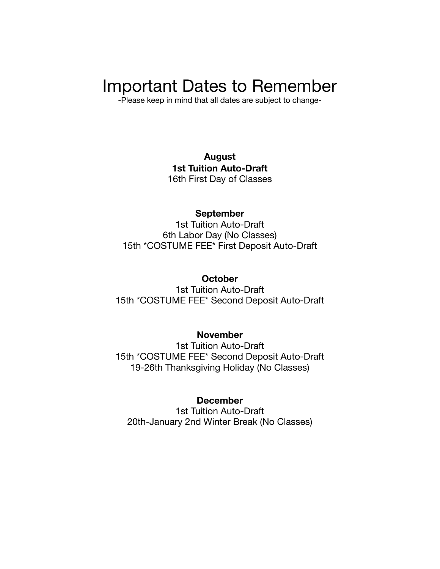## Important Dates to Remember

-Please keep in mind that all dates are subject to change-

**August 1st Tuition Auto-Draft**  16th First Day of Classes

#### **September**

1st Tuition Auto-Draft 6th Labor Day (No Classes) 15th \*COSTUME FEE\* First Deposit Auto-Draft

#### **October**

1st Tuition Auto-Draft 15th \*COSTUME FEE\* Second Deposit Auto-Draft

#### **November**

1st Tuition Auto-Draft 15th \*COSTUME FEE\* Second Deposit Auto-Draft 19-26th Thanksgiving Holiday (No Classes)

#### **December**

1st Tuition Auto-Draft 20th-January 2nd Winter Break (No Classes)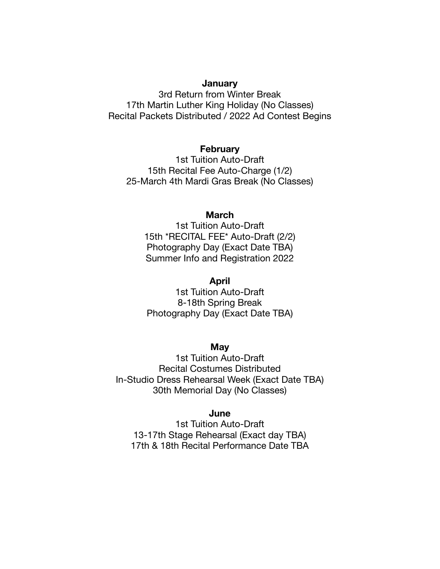#### **January**

3rd Return from Winter Break 17th Martin Luther King Holiday (No Classes) Recital Packets Distributed / 2022 Ad Contest Begins

#### **February**

1st Tuition Auto-Draft 15th Recital Fee Auto-Charge (1/2) 25-March 4th Mardi Gras Break (No Classes)

#### **March**

1st Tuition Auto-Draft 15th \*RECITAL FEE\* Auto-Draft (2/2) Photography Day (Exact Date TBA) Summer Info and Registration 2022

#### **April**

1st Tuition Auto-Draft 8-18th Spring Break Photography Day (Exact Date TBA)

#### **May**

1st Tuition Auto-Draft Recital Costumes Distributed In-Studio Dress Rehearsal Week (Exact Date TBA) 30th Memorial Day (No Classes)

#### **June**

1st Tuition Auto-Draft 13-17th Stage Rehearsal (Exact day TBA) 17th & 18th Recital Performance Date TBA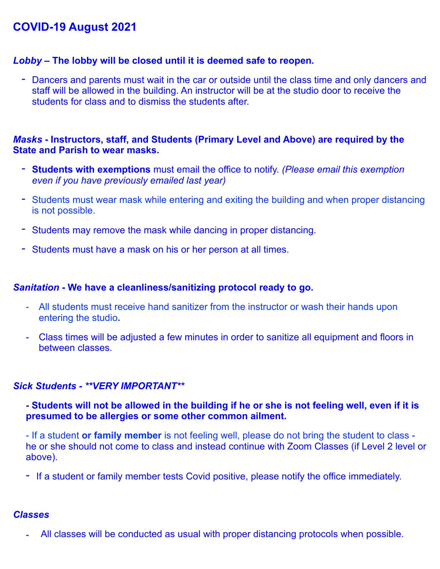### **COVID-19 August 2021**

### *Lobby* **– The lobby will be closed until it is deemed safe to reopen.**

- Dancers and parents must wait in the car or outside until the class time and only dancers and staff will be allowed in the building. An instructor will be at the studio door to receive the students for class and to dismiss the students after.

### *Masks* **- Instructors, staff, and Students (Primary Level and Above) are required by the State and Parish to wear masks.**

- **Students with exemptions** must email the office to notify. *(Please email this exemption even if you have previously emailed last year)*
- Students must wear mask while entering and exiting the building and when proper distancing is not possible.
- Students may remove the mask while dancing in proper distancing.
- Students must have a mask on his or her person at all times.

### *Sanitation* **- We have a cleanliness/sanitizing protocol ready to go.**

- All students must receive hand sanitizer from the instructor or wash their hands upon entering the studio**.**
- Class times will be adjusted a few minutes in order to sanitize all equipment and floors in between classes.

### *Sick Students - \*\*VERY IMPORTANT\*\**

### *-* **Students will not be allowed in the building if he or she is not feeling well, even if it is presumed to be allergies or some other common ailment.**

- If a student **or family member** is not feeling well, please do not bring the student to class he or she should not come to class and instead continue with Zoom Classes (if Level 2 level or above).

- If a student or family member tests Covid positive, please notify the office immediately.

### *Classes*

All classes will be conducted as usual with proper distancing protocols when possible.